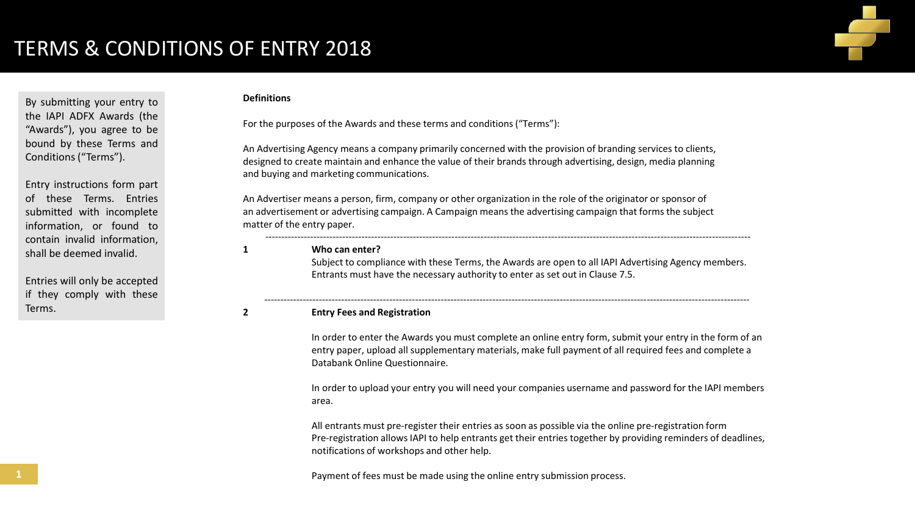

### **Definitions**

By submitting your entry to the IAPI ADFX Awards (the "Awards"), you agree to be bound by these Terms and Conditions ("Terms").

Entry instructions form part of these Terms. Entries submitted with incomplete information, or found to contain invalid information, shall be deemed invalid.

Entries will only be accepted if they comply with these Terms.

For the purposes of the Awards and these terms and conditions ("Terms"):

An Advertising Agency means a company primarily concerned with the provision of branding services to clients, designed to create maintain and enhance the value of their brands through advertising, design, media planning and buying and marketing communications.

An Advertiser means a person, firm, company or other organization in the role of the originator or sponsor of an advertisement or advertising campaign. A Campaign means the advertising campaign that forms the subject matter of the entry paper.

### **1 Who can enter?**

Subject to compliance with these Terms, the Awards are open to all IAPI Advertising Agency members. Entrants must have the necessary authority to enter as set out in Clause 7.5.

-------------------------------------------------------------------------------------------------------------------------------------------------------

-------------------------------------------------------------------------------------------------------------------------------------------------------

#### **2 Entry Fees and Registration**

In order to enter the Awards you must complete an online entry form, submit your entry in the form of an entry paper, upload all supplementary materials, make full payment of all required fees and complete a Databank Online Questionnaire.

In order to upload your entry you will need your companies username and password for the IAPI members area.

All entrants must pre-register their entries as soon as possible via the online pre-registration form Pre-registration allows IAPI to help entrants get their entries together by providing reminders of deadlines, notifications of workshops and other help.

Payment of fees must be made using the online entry submission process.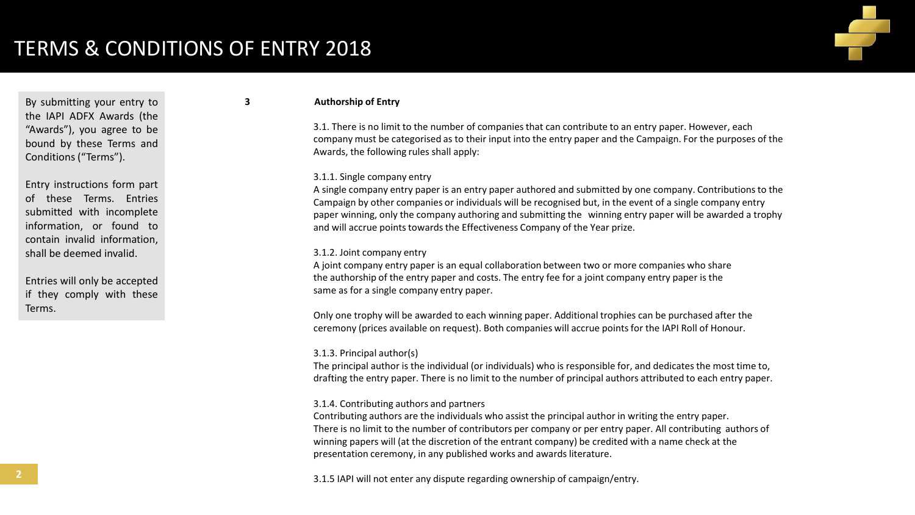

By submitting your entry to the IAPI ADFX Awards (the "Awards"), you agree to be bound by these Terms and Conditions ("Terms").

Entry instructions form part of these Terms. Entries submitted with incomplete information, or found to contain invalid information, shall be deemed invalid.

Entries will only be accepted if they comply with these Terms.

### **3 Authorship of Entry**

3.1. There is no limit to the number of companies that can contribute to an entry paper. However, each company must be categorised as to their input into the entry paper and the Campaign. For the purposes of the Awards, the following rules shall apply:

## 3.1.1. Single company entry

A single company entry paper is an entry paper authored and submitted by one company. Contributions to the Campaign by other companies or individuals will be recognised but, in the event of a single company entry paper winning, only the company authoring and submitting the winning entry paper will be awarded a trophy and will accrue points towards the Effectiveness Company of the Year prize.

#### 3.1.2. Joint company entry

A joint company entry paper is an equal collaboration between two or more companies who share the authorship of the entry paper and costs. The entry fee for a joint company entry paper is the same as for a single company entry paper.

Only one trophy will be awarded to each winning paper. Additional trophies can be purchased after the ceremony (prices available on request). Both companies will accrue points for the IAPI Roll of Honour.

#### 3.1.3. Principal author(s)

The principal author is the individual (or individuals) who is responsible for, and dedicates the most time to, drafting the entry paper. There is no limit to the number of principal authors attributed to each entry paper.

### 3.1.4. Contributing authors and partners

Contributing authors are the individuals who assist the principal author in writing the entry paper. There is no limit to the number of contributors per company or per entry paper. All contributing authors of winning papers will (at the discretion of the entrant company) be credited with a name check at the presentation ceremony, in any published works and awards literature.

3.1.5 IAPI will not enter any dispute regarding ownership of campaign/entry.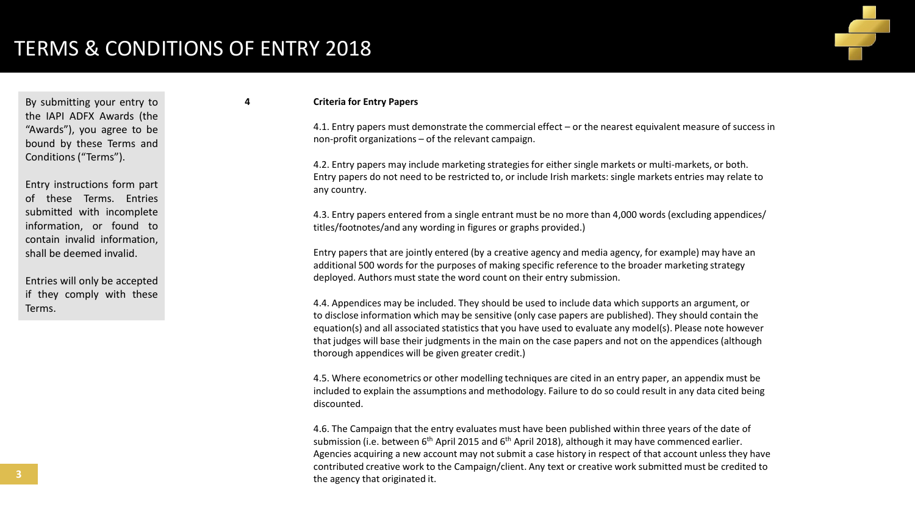

By submitting your entry to the IAPI ADFX Awards (the "Awards"), you agree to be bound by these Terms and Conditions ("Terms").

Entry instructions form part of these Terms. Entries submitted with incomplete information, or found to contain invalid information, shall be deemed invalid.

Entries will only be accepted if they comply with these Terms.

### **4 Criteria for Entry Papers**

4.1. Entry papers must demonstrate the commercial effect – or the nearest equivalent measure of success in non-profit organizations – of the relevant campaign.

4.2. Entry papers may include marketing strategies for either single markets or multi-markets, or both. Entry papers do not need to be restricted to, or include Irish markets: single markets entries may relate to any country.

4.3. Entry papers entered from a single entrant must be no more than 4,000 words (excluding appendices/ titles/footnotes/and any wording in figures or graphs provided.)

Entry papers that are jointly entered (by a creative agency and media agency, for example) may have an additional 500 words for the purposes of making specific reference to the broader marketing strategy deployed. Authors must state the word count on their entry submission.

4.4. Appendices may be included. They should be used to include data which supports an argument, or to disclose information which may be sensitive (only case papers are published). They should contain the equation(s) and all associated statistics that you have used to evaluate any model(s). Please note however that judges will base their judgments in the main on the case papers and not on the appendices (although thorough appendices will be given greater credit.)

4.5. Where econometrics or other modelling techniques are cited in an entry paper, an appendix must be included to explain the assumptions and methodology. Failure to do so could result in any data cited being discounted.

4.6. The Campaign that the entry evaluates must have been published within three years of the date of submission (i.e. between  $6<sup>th</sup>$  April 2015 and  $6<sup>th</sup>$  April 2018), although it may have commenced earlier. Agencies acquiring a new account may not submit a case history in respect of that account unless they have contributed creative work to the Campaign/client. Any text or creative work submitted must be credited to the agency that originated it.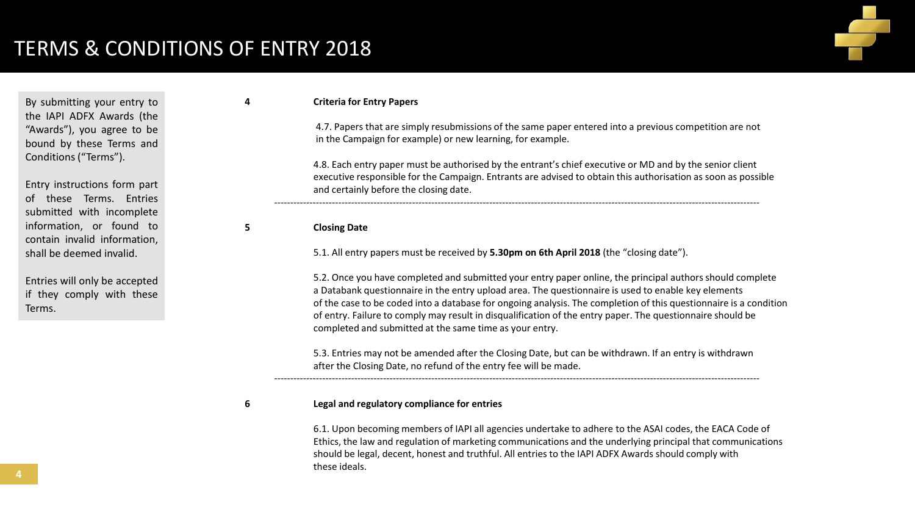

By submitting your entry to the IAPI ADFX Awards (the "Awards"), you agree to be bound by these Terms and Conditions ("Terms").

Entry instructions form part of these Terms. Entries submitted with incomplete information, or found to contain invalid information, shall be deemed invalid.

Entries will only be accepted if they comply with these Terms.

## **4 Criteria for Entry Papers**

4.7. Papers that are simply resubmissions of the same paper entered into a previous competition are not in the Campaign for example) or new learning, for example.

4.8. Each entry paper must be authorised by the entrant's chief executive or MD and by the senior client executive responsible for the Campaign. Entrants are advised to obtain this authorisation as soon as possible and certainly before the closing date.

**5 Closing Date**

5.1. All entry papers must be received by **5.30pm on 6th April 2018** (the "closing date").

-------------------------------------------------------------------------------------------------------------------------------------------------------

5.2. Once you have completed and submitted your entry paper online, the principal authors should complete a Databank questionnaire in the entry upload area. The questionnaire is used to enable key elements of the case to be coded into a database for ongoing analysis. The completion of this questionnaire is a condition of entry. Failure to comply may result in disqualification of the entry paper. The questionnaire should be completed and submitted at the same time as your entry.

5.3. Entries may not be amended after the Closing Date, but can be withdrawn. If an entry is withdrawn after the Closing Date, no refund of the entry fee will be made.

-------------------------------------------------------------------------------------------------------------------------------------------------------

### **6 Legal and regulatory compliance for entries**

6.1. Upon becoming members of IAPI all agencies undertake to adhere to the ASAI codes, the EACA Code of Ethics, the law and regulation of marketing communications and the underlying principal that communications should be legal, decent, honest and truthful. All entries to the IAPI ADFX Awards should comply with these ideals.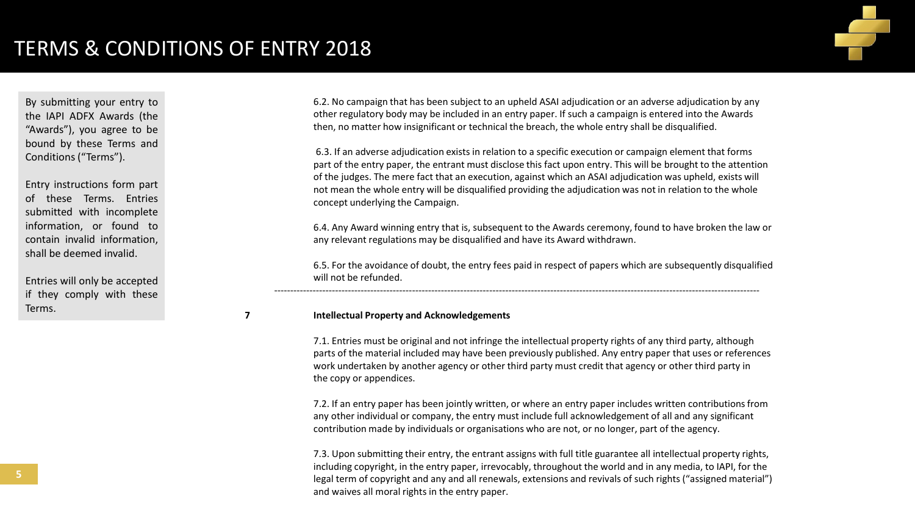

By submitting your entry to the IAPI ADFX Awards (the "Awards"), you agree to be bound by these Terms and Conditions ("Terms").

Entry instructions form part of these Terms. Entries submitted with incomplete information, or found to contain invalid information, shall be deemed invalid.

Entries will only be accepted if they comply with these Terms.

6.2. No campaign that has been subject to an upheld ASAI adjudication or an adverse adjudication by any other regulatory body may be included in an entry paper. If such a campaign is entered into the Awards then, no matter how insignificant or technical the breach, the whole entry shall be disqualified.

6.3. If an adverse adjudication exists in relation to a specific execution or campaign element that forms part of the entry paper, the entrant must disclose this fact upon entry. This will be brought to the attention of the judges. The mere fact that an execution, against which an ASAI adjudication was upheld, exists will not mean the whole entry will be disqualified providing the adjudication was not in relation to the whole concept underlying the Campaign.

6.4. Any Award winning entry that is, subsequent to the Awards ceremony, found to have broken the law or any relevant regulations may be disqualified and have its Award withdrawn.

6.5. For the avoidance of doubt, the entry fees paid in respect of papers which are subsequently disqualified will not be refunded.

-------------------------------------------------------------------------------------------------------------------------------------------------------

### **7 Intellectual Property and Acknowledgements**

7.1. Entries must be original and not infringe the intellectual property rights of any third party, although parts of the material included may have been previously published. Any entry paper that uses or references work undertaken by another agency or other third party must credit that agency or other third party in the copy or appendices.

7.2. If an entry paper has been jointly written, or where an entry paper includes written contributions from any other individual or company, the entry must include full acknowledgement of all and any significant contribution made by individuals or organisations who are not, or no longer, part of the agency.

7.3. Upon submitting their entry, the entrant assigns with full title guarantee all intellectual property rights, including copyright, in the entry paper, irrevocably, throughout the world and in any media, to IAPI, for the legal term of copyright and any and all renewals, extensions and revivals of such rights ("assigned material") and waives all moral rights in the entry paper.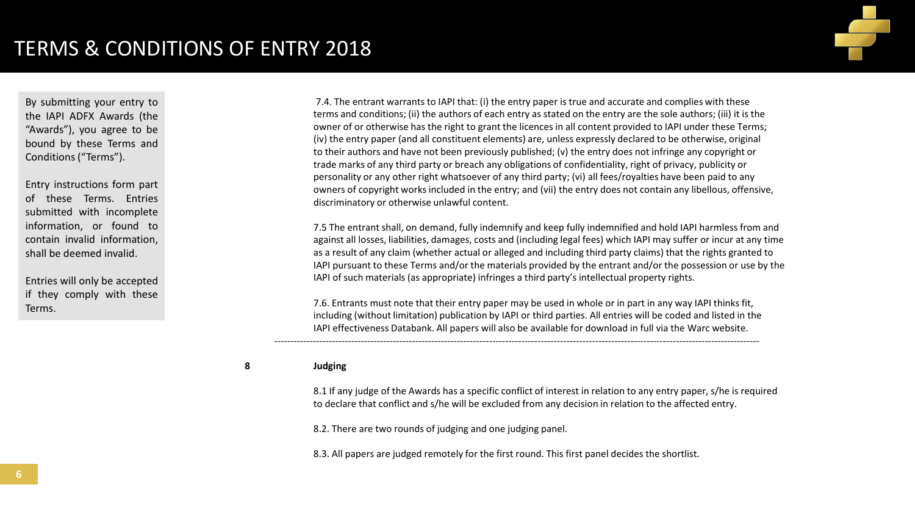

By submitting your entry to the IAPI ADFX Awards (the "Awards"), you agree to be bound by these Terms and Conditions ("Terms").

Entry instructions form part of these Terms. Entries submitted with incomplete information, or found to contain invalid information, shall be deemed invalid.

Entries will only be accepted if they comply with these Terms.

7.4. The entrant warrants to IAPI that: (i) the entry paper is true and accurate and complies with these terms and conditions; (ii) the authors of each entry as stated on the entry are the sole authors; (iii) it is the owner of or otherwise has the right to grant the licences in all content provided to IAPI under these Terms; (iv) the entry paper (and all constituent elements) are, unless expressly declared to be otherwise, original to their authors and have not been previously published; (v) the entry does not infringe any copyright or trade marks of any third party or breach any obligations of confidentiality, right of privacy, publicity or personality or any other right whatsoever of any third party; (vi) all fees/royalties have been paid to any owners of copyright works included in the entry; and (vii) the entry does not contain any libellous, offensive, discriminatory or otherwise unlawful content.

7.5 The entrant shall, on demand, fully indemnify and keep fully indemnified and hold IAPI harmless from and against all losses, liabilities, damages, costs and (including legal fees) which IAPI may suffer or incur at any time as a result of any claim (whether actual or alleged and including third party claims) that the rights granted to IAPI pursuant to these Terms and/or the materials provided by the entrant and/or the possession or use by the IAPI of such materials (as appropriate) infringes a third party's intellectual property rights.

7.6. Entrants must note that their entry paper may be used in whole or in part in any way IAPI thinks fit, including (without limitation) publication by IAPI or third parties. All entries will be coded and listed in the IAPI effectiveness Databank. All papers will also be available for download in full via the Warc website.

-------------------------------------------------------------------------------------------------------------------------------------------------------

# **8 Judging**

8.1 If any judge of the Awards has a specific conflict of interest in relation to any entry paper, s/he is required to declare that conflict and s/he will be excluded from any decision in relation to the affected entry.

8.2. There are two rounds of judging and one judging panel.

8.3. All papers are judged remotely for the first round. This first panel decides the shortlist.